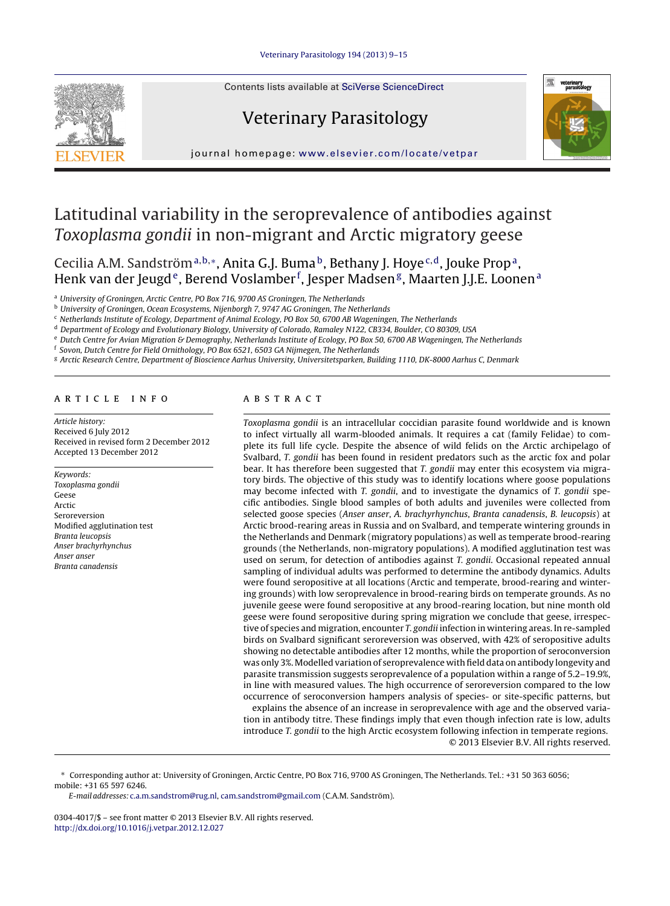Contents lists available at SciVerse [ScienceDirect](http://www.sciencedirect.com/science/journal/03044017)

# Veterinary Parasitology



journal homepage: [www.elsevier.com/locate/vetpar](http://www.elsevier.com/locate/vetpar)

# Latitudinal variability in the seroprevalence of antibodies against Toxoplasma gondii in non-migrant and Arctic migratory geese

Cecilia A.M. Sandström<sup>a,b,\*</sup>, Anita G.J. Buma<sup>b</sup>, Bethany J. Hoye<sup>c,d</sup>, Jouke Prop<sup>a</sup>, Henk van der Jeugd<sup>e</sup>, Berend Voslamber<sup>f</sup>, Jesper Madsen<sup>g</sup>, Maarten J.J.E. Loonen<sup>a</sup>

<sup>a</sup> University of Groningen, Arctic Centre, PO Box 716, 9700 AS Groningen, The Netherlands

**b** University of Groningen, Ocean Ecosystems, Nijenborgh 7, 9747 AG Groningen, The Netherlands

<sup>c</sup> Netherlands Institute of Ecology, Department of Animal Ecology, PO Box 50, 6700 AB Wageningen, The Netherlands

<sup>d</sup> Department of Ecology and Evolutionary Biology, University of Colorado, Ramaley N122, CB334, Boulder, CO 80309, USA

<sup>e</sup> Dutch Centre for Avian Migration & Demography, Netherlands Institute of Ecology, PO Box 50, 6700 AB Wageningen, The Netherlands

<sup>f</sup> Sovon, Dutch Centre for Field Ornithology, PO Box 6521, 6503 GA Nijmegen, The Netherlands

<sup>g</sup> Arctic Research Centre, Department of Bioscience Aarhus University, Universitetsparken, Building 1110, DK-8000 Aarhus C, Denmark

### ARTICLE INFO

Article history: Received 6 July 2012 Received in revised form 2 December 2012 Accepted 13 December 2012

Keywords: Toxoplasma gondii Geese Arctic Seroreversion Modified agglutination test Branta leucopsis Anser brachyrhynchus Anser anser Branta canadensis

## A B S T R A C T

Toxoplasma gondii is an intracellular coccidian parasite found worldwide and is known to infect virtually all warm-blooded animals. It requires a cat (family Felidae) to complete its full life cycle. Despite the absence of wild felids on the Arctic archipelago of Svalbard, T. gondii has been found in resident predators such as the arctic fox and polar bear. It has therefore been suggested that T. gondii may enter this ecosystem via migratory birds. The objective of this study was to identify locations where goose populations may become infected with T. gondii, and to investigate the dynamics of T. gondii specific antibodies. Single blood samples of both adults and juveniles were collected from selected goose species (Anser anser, A. brachyrhynchus, Branta canadensis, B. leucopsis) at Arctic brood-rearing areas in Russia and on Svalbard, and temperate wintering grounds in the Netherlands and Denmark (migratory populations) as well as temperate brood-rearing grounds (the Netherlands, non-migratory populations). A modified agglutination test was used on serum, for detection of antibodies against T. gondii. Occasional repeated annual sampling of individual adults was performed to determine the antibody dynamics. Adults were found seropositive at all locations (Arctic and temperate, brood-rearing and wintering grounds) with low seroprevalence in brood-rearing birds on temperate grounds. As no juvenile geese were found seropositive at any brood-rearing location, but nine month old geese were found seropositive during spring migration we conclude that geese, irrespective of species and migration, encounter T. gondii infection in wintering areas. In re-sampled birds on Svalbard significant seroreversion was observed, with 42% of seropositive adults showing no detectable antibodies after 12 months, while the proportion of seroconversion was only 3%. Modelled variation of seroprevalence with field data on antibody longevity and parasite transmission suggests seroprevalence of a population within a range of 5.2–19.9%, in line with measured values. The high occurrence of seroreversion compared to the low occurrence of seroconversion hampers analysis of species- or site-specific patterns, but

explains the absence of an increase in seroprevalence with age and the observed variation in antibody titre. These findings imply that even though infection rate is low, adults introduce T. gondii to the high Arctic ecosystem following infection in temperate regions. © 2013 Elsevier B.V. All rights reserved.

∗ Corresponding author at: University of Groningen, Arctic Centre, PO Box 716, 9700 AS Groningen, The Netherlands. Tel.: +31 50 363 6056; mobile: +31 65 597 6246.

E-mail addresses: [c.a.m.sandstrom@rug.nl](mailto:c.a.m.sandstrom@rug.nl), [cam.sandstrom@gmail.com](mailto:cam.sandstrom@gmail.com) (C.A.M. Sandström).

0304-4017/\$ – see front matter © 2013 Elsevier B.V. All rights reserved. [http://dx.doi.org/10.1016/j.vetpar.2012.12.027](dx.doi.org/10.1016/j.vetpar.2012.12.027)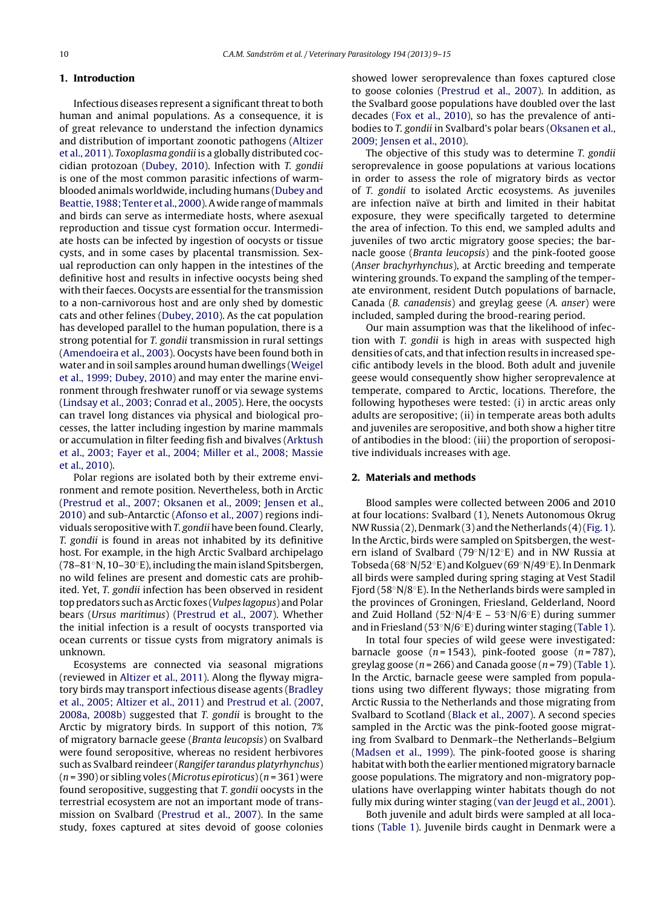# **1. Introduction**

Infectious diseases represent a significant threat to both human and animal populations. As a consequence, it is of great relevance to understand the infection dynamics and distribution of important zoonotic pathogens [\(Altizer](#page-6-0) et [al.,](#page-6-0) [2011\).](#page-6-0) Toxoplasma gondii is a globally distributed coccidian protozoan ([Dubey,](#page-6-0) [2010\).](#page-6-0) Infection with T. gondii is one of the most common parasitic infections of warmblooded animals worldwide, including humans [\(Dubey](#page-6-0) [and](#page-6-0) [Beattie,](#page-6-0) [1988;](#page-6-0) [Tenter](#page-6-0) et [al.,](#page-6-0) [2000\).](#page-6-0) A wide range of mammals and birds can serve as intermediate hosts, where asexual reproduction and tissue cyst formation occur. Intermediate hosts can be infected by ingestion of oocysts or tissue cysts, and in some cases by placental transmission. Sexual reproduction can only happen in the intestines of the definitive host and results in infective oocysts being shed with their faeces. Oocysts are essential for the transmission to a non-carnivorous host and are only shed by domestic cats and other felines [\(Dubey,](#page-6-0) [2010\).](#page-6-0) As the cat population has developed parallel to the human population, there is a strong potential for T. gondii transmission in rural settings [\(Amendoeira](#page-6-0) et [al.,](#page-6-0) [2003\).](#page-6-0) Oocysts have been found both in water and in soil samples around human dwellings ([Weigel](#page-6-0) et [al.,](#page-6-0) [1999;](#page-6-0) [Dubey,](#page-6-0) [2010\)](#page-6-0) and may enter the marine environment through freshwater runoff or via sewage systems [\(Lindsay](#page-6-0) et [al.,](#page-6-0) [2003;](#page-6-0) [Conrad](#page-6-0) et [al.,](#page-6-0) [2005\).](#page-6-0) Here, the oocysts can travel long distances via physical and biological processes, the latter including ingestion by marine mammals or accumulation in filter feeding fish and bivalves [\(Arktush](#page-6-0) et [al.,](#page-6-0) [2003;](#page-6-0) [Fayer](#page-6-0) et [al.,](#page-6-0) [2004;](#page-6-0) [Miller](#page-6-0) et [al.,](#page-6-0) [2008;](#page-6-0) [Massie](#page-6-0) et [al.,](#page-6-0) [2010\).](#page-6-0)

Polar regions are isolated both by their extreme environment and remote position. Nevertheless, both in Arctic [\(Prestrud](#page-6-0) et [al.,](#page-6-0) [2007;](#page-6-0) [Oksanen](#page-6-0) et [al.,](#page-6-0) [2009;](#page-6-0) [Jensen](#page-6-0) et [al.,](#page-6-0) [2010\)](#page-6-0) and sub-Antarctic ([Afonso](#page-6-0) et [al.,](#page-6-0) [2007\)](#page-6-0) regions individuals seropositive with T. gondii have been found. Clearly, T. gondii is found in areas not inhabited by its definitive host. For example, in the high Arctic Svalbard archipelago (78–81◦N, 10–30◦E), including the main island Spitsbergen, no wild felines are present and domestic cats are prohibited. Yet, T. gondii infection has been observed in resident top predators suchasArctic foxes (Vulpes lagopus) and Polar bears (Ursus maritimus) ([Prestrud](#page-6-0) et [al.,](#page-6-0) [2007\).](#page-6-0) Whether the initial infection is a result of oocysts transported via ocean currents or tissue cysts from migratory animals is unknown.

Ecosystems are connected via seasonal migrations (reviewed in [Altizer](#page-6-0) et [al.,](#page-6-0) [2011\).](#page-6-0) Along the flyway migratory birds may transport infectious disease agents [\(Bradley](#page-6-0) et [al.,](#page-6-0) [2005;](#page-6-0) [Altizer](#page-6-0) et [al.,](#page-6-0) [2011\)](#page-6-0) and [Prestrud](#page-6-0) et [al.](#page-6-0) [\(2007,](#page-6-0) [2008a,](#page-6-0) [2008b\)](#page-6-0) suggested that T. gondii is brought to the Arctic by migratory birds. In support of this notion, 7% of migratory barnacle geese (Branta leucopsis) on Svalbard were found seropositive, whereas no resident herbivores such as Svalbard reindeer (Rangifer tarandus platyrhynchus)  $(n = 390)$  or sibling voles (Microtus epiroticus) $(n = 361)$  were found seropositive, suggesting that T. gondii oocysts in the terrestrial ecosystem are not an important mode of transmission on Svalbard [\(Prestrud](#page-6-0) et [al.,](#page-6-0) [2007\).](#page-6-0) In the same study, foxes captured at sites devoid of goose colonies

showed lower seroprevalence than foxes captured close to goose colonies [\(Prestrud](#page-6-0) et [al.,](#page-6-0) [2007\).](#page-6-0) In addition, as the Svalbard goose populations have doubled over the last decades [\(Fox](#page-6-0) et [al.,](#page-6-0) [2010\),](#page-6-0) so has the prevalence of antibodies to T. gondii in Svalbard's polar bears ([Oksanen](#page-6-0) et [al.,](#page-6-0) [2009;](#page-6-0) [Jensen](#page-6-0) et [al.,](#page-6-0) [2010\).](#page-6-0)

The objective of this study was to determine T. gondii seroprevalence in goose populations at various locations in order to assess the role of migratory birds as vector of T. gondii to isolated Arctic ecosystems. As juveniles are infection naïve at birth and limited in their habitat exposure, they were specifically targeted to determine the area of infection. To this end, we sampled adults and juveniles of two arctic migratory goose species; the barnacle goose (Branta leucopsis) and the pink-footed goose (Anser brachyrhynchus), at Arctic breeding and temperate wintering grounds. To expand the sampling of the temperate environment, resident Dutch populations of barnacle, Canada (B. canadensis) and greylag geese (A. anser) were included, sampled during the brood-rearing period.

Our main assumption was that the likelihood of infection with T. gondii is high in areas with suspected high densities of cats, and that infection results in increased specific antibody levels in the blood. Both adult and juvenile geese would consequently show higher seroprevalence at temperate, compared to Arctic, locations. Therefore, the following hypotheses were tested: (i) in arctic areas only adults are seropositive; (ii) in temperate areas both adults and juveniles are seropositive, and both show a higher titre of antibodies in the blood: (iii) the proportion of seropositive individuals increases with age.

# **2. Materials and methods**

Blood samples were collected between 2006 and 2010 at four locations: Svalbard (1), Nenets Autonomous Okrug NWRussia (2), Denmark (3) and the Netherlands (4)[\(Fig.](#page-2-0) 1). In the Arctic, birds were sampled on Spitsbergen, the western island of Svalbard (79◦N/12◦E) and in NW Russia at Tobseda (68°N/52°E) and Kolguev (69°N/49°E). In Denmark all birds were sampled during spring staging at Vest Stadil Fjord (58◦N/8◦E). In the Netherlands birds were sampled in the provinces of Groningen, Friesland, Gelderland, Noord and Zuid Holland (52°N/4°E – 53°N/6°E) during summer and in Friesland (53◦N/6◦E) during winter staging ([Table](#page-2-0) 1).

In total four species of wild geese were investigated: barnacle goose  $(n=1543)$ , pink-footed goose  $(n=787)$ , greylag goose ( $n = 266$ ) and Canada goose ( $n = 79$ ) [\(Table](#page-2-0) 1). In the Arctic, barnacle geese were sampled from populations using two different flyways; those migrating from Arctic Russia to the Netherlands and those migrating from Svalbard to Scotland [\(Black](#page-6-0) et [al.,](#page-6-0) [2007\).](#page-6-0) A second species sampled in the Arctic was the pink-footed goose migrating from Svalbard to Denmark–the Netherlands–Belgium [\(Madsen](#page-6-0) et [al.,](#page-6-0) [1999\).](#page-6-0) The pink-footed goose is sharing habitat with both the earlier mentioned migratory barnacle goose populations. The migratory and non-migratory populations have overlapping winter habitats though do not fully mix during winter staging ([van](#page-6-0) [der](#page-6-0) [Jeugd](#page-6-0) et [al.,](#page-6-0) [2001\).](#page-6-0)

Both juvenile and adult birds were sampled at all locations [\(Table](#page-2-0) 1). Juvenile birds caught in Denmark were a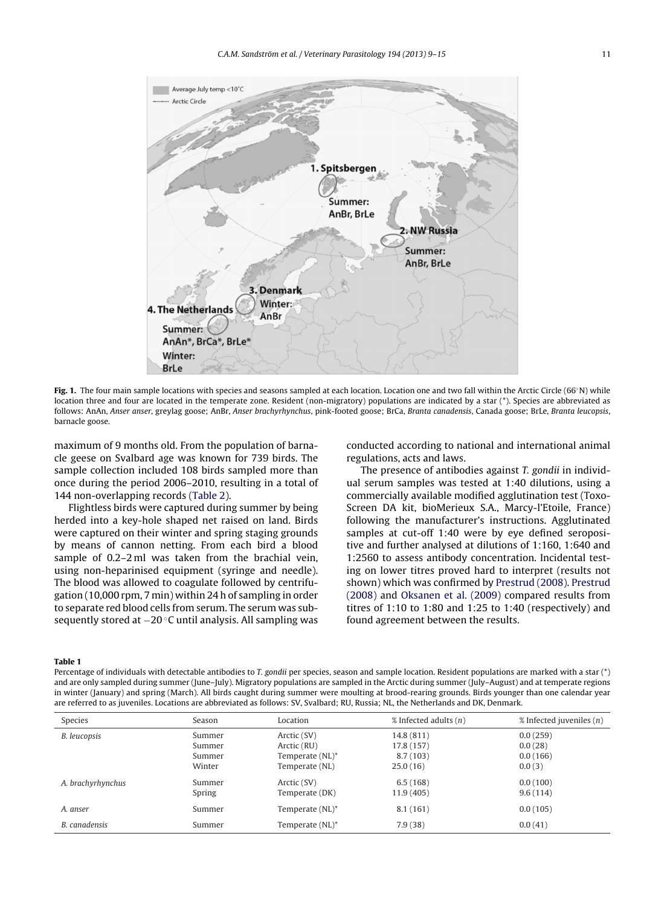<span id="page-2-0"></span>

**Fig. 1.** The four main sample locations with species and seasons sampled at each location. Location one and two fall within the Arctic Circle (66◦N) while location three and four are located in the temperate zone. Resident (non-migratory) populations are indicated by a star (\*). Species are abbreviated as follows: AnAn, Anser anser, greylag goose; AnBr, Anser brachyrhynchus, pink-footed goose; BrCa, Branta canadensis, Canada goose; BrLe, Branta leucopsis, barnacle goose.

maximum of 9 months old. From the population of barnacle geese on Svalbard age was known for 739 birds. The sample collection included 108 birds sampled more than once during the period 2006–2010, resulting in a total of 144 non-overlapping records ([Table](#page-3-0) 2).

Flightless birds were captured during summer by being herded into a key-hole shaped net raised on land. Birds were captured on their winter and spring staging grounds by means of cannon netting. From each bird a blood sample of 0.2–2 ml was taken from the brachial vein, using non-heparinised equipment (syringe and needle). The blood was allowed to coagulate followed by centrifugation (10,000 rpm, 7 min) within 24 h of sampling in order to separate red blood cells from serum. The serum was subsequently stored at −20 ◦C until analysis. All sampling was

conducted according to national and international animal regulations, acts and laws.

The presence of antibodies against T. gondii in individual serum samples was tested at 1:40 dilutions, using a commercially available modified agglutination test (Toxo-Screen DA kit, bioMerieux S.A., Marcy-l'Etoile, France) following the manufacturer's instructions. Agglutinated samples at cut-off 1:40 were by eye defined seropositive and further analysed at dilutions of 1:160, 1:640 and 1:2560 to assess antibody concentration. Incidental testing on lower titres proved hard to interpret (results not shown) which was confirmed by [Prestrud](#page-6-0) [\(2008\).](#page-6-0) [Prestrud](#page-6-0) [\(2008\)](#page-6-0) and [Oksanen](#page-6-0) et [al.](#page-6-0) [\(2009\)](#page-6-0) compared results from titres of 1:10 to 1:80 and 1:25 to 1:40 (respectively) and found agreement between the results.

#### **Table 1**

Percentage of individuals with detectable antibodies to T. gondii per species, season and sample location. Resident populations are marked with a star (\*) and are only sampled during summer (June–July). Migratory populations are sampled in the Arctic during summer (July–August) and at temperate regions in winter (January) and spring (March). All birds caught during summer were moulting at brood-rearing grounds. Birds younger than one calendar year are referred to as juveniles. Locations are abbreviated as follows: SV, Svalbard; RU, Russia; NL, the Netherlands and DK, Denmark.

| Species           | Season | Location        | % Infected adults $(n)$ | % Infected juveniles $(n)$ |
|-------------------|--------|-----------------|-------------------------|----------------------------|
| B. leucopsis      | Summer | Arctic (SV)     | 14.8 (811)              | 0.0(259)                   |
|                   | Summer | Arctic (RU)     | 17.8 (157)              | 0.0(28)                    |
|                   | Summer | Temperate (NL)* | 8.7(103)                | 0.0(166)                   |
|                   | Winter | Temperate (NL)  | 25.0(16)                | 0.0(3)                     |
| A. brachyrhynchus | Summer | Arctic (SV)     | 6.5(168)                | 0.0(100)                   |
|                   | Spring | Temperate (DK)  | 11.9(405)               | 9.6(114)                   |
| A. anser          | Summer | Temperate (NL)* | 8.1(161)                | 0.0(105)                   |
| B. canadensis     | Summer | Temperate (NL)* | 7.9(38)                 | 0.0(41)                    |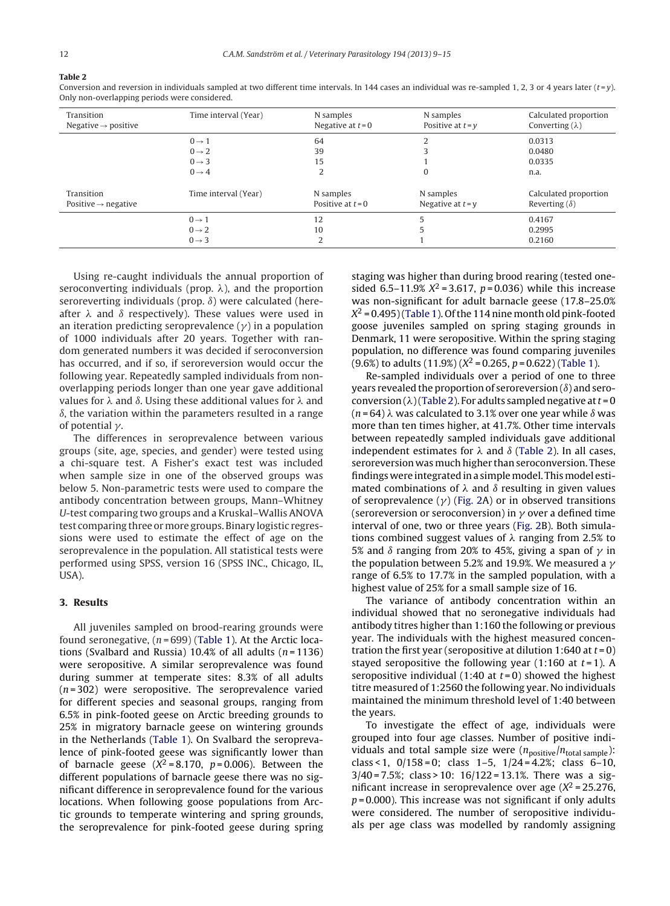# <span id="page-3-0"></span>**Table 2**

Conversion and reversion in individuals sampled at two different time intervals. In 144 cases an individual was re-sampled 1, 2, 3 or 4 years later  $(t = y)$ . Only non-overlapping periods were considered.

| Transition<br>Negative $\rightarrow$ positive | Time interval (Year) | N samples<br>Negative at $t=0$ | N samples<br>Positive at $t = v$ | Calculated proportion<br>Converting $(\lambda)$ |
|-----------------------------------------------|----------------------|--------------------------------|----------------------------------|-------------------------------------------------|
|                                               | $0 \rightarrow 1$    | 64                             |                                  | 0.0313                                          |
|                                               | $0 \rightarrow 2$    | 39                             |                                  | 0.0480                                          |
|                                               | $0 \rightarrow 3$    | 15                             |                                  | 0.0335                                          |
|                                               | $0 \rightarrow 4$    |                                |                                  | n.a.                                            |
| Transition<br>Positive $\rightarrow$ negative | Time interval (Year) | N samples<br>Positive at $t=0$ | N samples<br>Negative at $t = v$ | Calculated proportion<br>Reverting $(\delta)$   |
|                                               | $0 \rightarrow 1$    | 12                             |                                  | 0.4167                                          |
|                                               | $0 \rightarrow 2$    | 10                             |                                  | 0.2995                                          |
|                                               | $0 \rightarrow 3$    |                                |                                  | 0.2160                                          |

Using re-caught individuals the annual proportion of seroconverting individuals (prop.  $\lambda$ ), and the proportion seroreverting individuals (prop.  $\delta$ ) were calculated (hereafter  $\lambda$  and  $\delta$  respectively). These values were used in an iteration predicting seroprevalence  $(\gamma)$  in a population of 1000 individuals after 20 years. Together with random generated numbers it was decided if seroconversion has occurred, and if so, if seroreversion would occur the following year. Repeatedly sampled individuals from nonoverlapping periods longer than one year gave additional values for  $\lambda$  and  $\delta$ . Using these additional values for  $\lambda$  and  $\delta$ , the variation within the parameters resulted in a range of potential  $\nu$ .

The differences in seroprevalence between various groups (site, age, species, and gender) were tested using a chi-square test. A Fisher's exact test was included when sample size in one of the observed groups was below 5. Non-parametric tests were used to compare the antibody concentration between groups, Mann–Whitney U-test comparing two groups and a Kruskal–Wallis ANOVA test comparing three or more groups. Binary logistic regressions were used to estimate the effect of age on the seroprevalence in the population. All statistical tests were performed using SPSS, version 16 (SPSS INC., Chicago, IL, USA).

#### **3. Results**

All juveniles sampled on brood-rearing grounds were found seronegative,  $(n = 699)$  [\(Table](#page-2-0) 1). At the Arctic locations (Svalbard and Russia) 10.4% of all adults  $(n=1136)$ were seropositive. A similar seroprevalence was found during summer at temperate sites: 8.3% of all adults  $(n=302)$  were seropositive. The seroprevalence varied for different species and seasonal groups, ranging from 6.5% in pink-footed geese on Arctic breeding grounds to 25% in migratory barnacle geese on wintering grounds in the Netherlands ([Table](#page-2-0) 1). On Svalbard the seroprevalence of pink-footed geese was significantly lower than of barnacle geese ( $X^2 = 8.170$ ,  $p = 0.006$ ). Between the different populations of barnacle geese there was no significant difference in seroprevalence found for the various locations. When following goose populations from Arctic grounds to temperate wintering and spring grounds, the seroprevalence for pink-footed geese during spring

staging was higher than during brood rearing (tested onesided 6.5–11.9%  $X^2$  = 3.617, p = 0.036) while this increase was non-significant for adult barnacle geese (17.8–25.0%  $X^2$  = 0.495)[\(Table](#page-2-0) 1). Of the 114 nine month old pink-footed goose juveniles sampled on spring staging grounds in Denmark, 11 were seropositive. Within the spring staging population, no difference was found comparing juveniles (9.6%) to adults (11.9%) ( $X^2$  = 0.265, p = 0.622) [\(Table](#page-2-0) 1).

Re-sampled individuals over a period of one to three years revealed the proportion of seroreversion  $(\delta)$  and seroconversion ( $\lambda$ ) (Table 2). For adults sampled negative at  $t = 0$ (n = 64)  $\lambda$  was calculated to 3.1% over one year while  $\delta$  was more than ten times higher, at 41.7%. Other time intervals between repeatedly sampled individuals gave additional independent estimates for  $\lambda$  and  $\delta$  (Table 2). In all cases, seroreversion was much higher than seroconversion. These findings were integrated in a simple model. This model estimated combinations of  $\lambda$  and  $\delta$  resulting in given values of seroprevalence  $(\gamma)$  [\(Fig.](#page-4-0) 2A) or in observed transitions (seroreversion or seroconversion) in  $\gamma$  over a defined time interval of one, two or three years ([Fig.](#page-4-0) 2B). Both simulations combined suggest values of  $\lambda$  ranging from 2.5% to 5% and  $\delta$  ranging from 20% to 45%, giving a span of  $\gamma$  in the population between 5.2% and 19.9%. We measured a  $\gamma$ range of 6.5% to 17.7% in the sampled population, with a highest value of 25% for a small sample size of 16.

The variance of antibody concentration within an individual showed that no seronegative individuals had antibody titres higher than 1:160 the following or previous year. The individuals with the highest measured concentration the first year (seropositive at dilution 1:640 at  $t = 0$ ) stayed seropositive the following year  $(1:160$  at  $t = 1)$ . A seropositive individual (1:40 at  $t=0$ ) showed the highest titre measured of 1:2560 the following year. No individuals maintained the minimum threshold level of 1:40 between the years.

To investigate the effect of age, individuals were grouped into four age classes. Number of positive individuals and total sample size were  $(n_{\text{positive}}/n_{\text{total sample}})$ : class < 1,  $0/158 = 0$ ; class  $1-5$ ,  $1/24 = 4.2$ %; class  $6-10$ , 3/40 = 7.5%; class > 10: 16/122 = 13.1%. There was a significant increase in seroprevalence over age  $(X^2 = 25.276,$  $p = 0.000$ ). This increase was not significant if only adults were considered. The number of seropositive individuals per age class was modelled by randomly assigning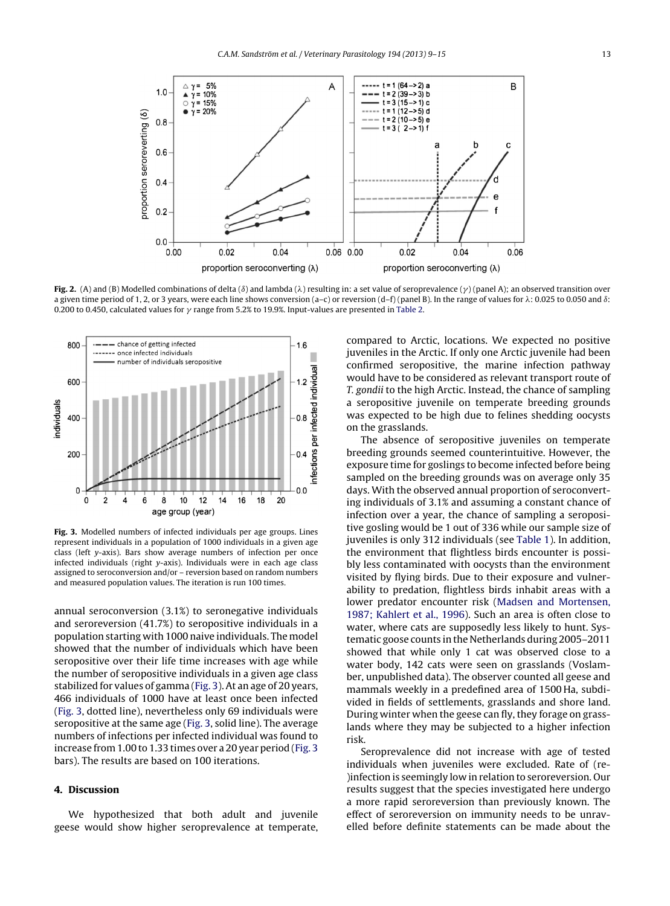<span id="page-4-0"></span>

**Fig. 2.** (A) and (B) Modelled combinations of delta ( $\delta$ ) and lambda ( $\lambda$ ) resulting in: a set value of seroprevalence ( $\gamma$ ) (panel A); an observed transition over a given time period of 1, 2, or 3 years, were each line shows conversion (a–c) or reversion (d–f) (panel B). In the range of values for  $\lambda$ : 0.025 to 0.050 and  $\delta$ : 0.200 to 0.450, calculated values for  $\gamma$  range from 5.2% to 19.9%. Input-values are presented in [Table](#page-3-0) 2.



**Fig. 3.** Modelled numbers of infected individuals per age groups. Lines represent individuals in a population of 1000 individuals in a given age class (left y-axis). Bars show average numbers of infection per once infected individuals (right y-axis). Individuals were in each age class assigned to seroconversion and/or – reversion based on random numbers and measured population values. The iteration is run 100 times.

annual seroconversion (3.1%) to seronegative individuals and seroreversion (41.7%) to seropositive individuals in a population starting with 1000 naive individuals. The model showed that the number of individuals which have been seropositive over their life time increases with age while the number of seropositive individuals in a given age class stabilized for values of gamma (Fig. 3). At an age of 20 years, 466 individuals of 1000 have at least once been infected (Fig. 3, dotted line), nevertheless only 69 individuals were seropositive at the same age (Fig. 3, solid line). The average numbers of infections per infected individual was found to increase from 1.00 to 1.33 times over a 20 year period (Fig. 3 bars). The results are based on 100 iterations.

# **4. Discussion**

We hypothesized that both adult and juvenile geese would show higher seroprevalence at temperate, compared to Arctic, locations. We expected no positive juveniles in the Arctic. If only one Arctic juvenile had been confirmed seropositive, the marine infection pathway would have to be considered as relevant transport route of T. gondii to the high Arctic. Instead, the chance of sampling a seropositive juvenile on temperate breeding grounds was expected to be high due to felines shedding oocysts on the grasslands.

The absence of seropositive juveniles on temperate breeding grounds seemed counterintuitive. However, the exposure time for goslings to become infected before being sampled on the breeding grounds was on average only 35 days. With the observed annual proportion of seroconverting individuals of 3.1% and assuming a constant chance of infection over a year, the chance of sampling a seropositive gosling would be 1 out of 336 while our sample size of juveniles is only 312 individuals (see [Table](#page-2-0) 1). In addition, the environment that flightless birds encounter is possibly less contaminated with oocysts than the environment visited by flying birds. Due to their exposure and vulnerability to predation, flightless birds inhabit areas with a lower predator encounter risk [\(Madsen](#page-6-0) [and](#page-6-0) [Mortensen,](#page-6-0) [1987;](#page-6-0) [Kahlert](#page-6-0) et [al.,](#page-6-0) [1996\).](#page-6-0) Such an area is often close to water, where cats are supposedly less likely to hunt. Systematic goose counts in the Netherlands during 2005–2011 showed that while only 1 cat was observed close to a water body, 142 cats were seen on grasslands (Voslamber, unpublished data). The observer counted all geese and mammals weekly in a predefined area of 1500 Ha, subdivided in fields of settlements, grasslands and shore land. During winter when the geese can fly, they forage on grasslands where they may be subjected to a higher infection risk.

Seroprevalence did not increase with age of tested individuals when juveniles were excluded. Rate of (re- )infection is seemingly low in relation to seroreversion. Our results suggest that the species investigated here undergo a more rapid seroreversion than previously known. The effect of seroreversion on immunity needs to be unravelled before definite statements can be made about the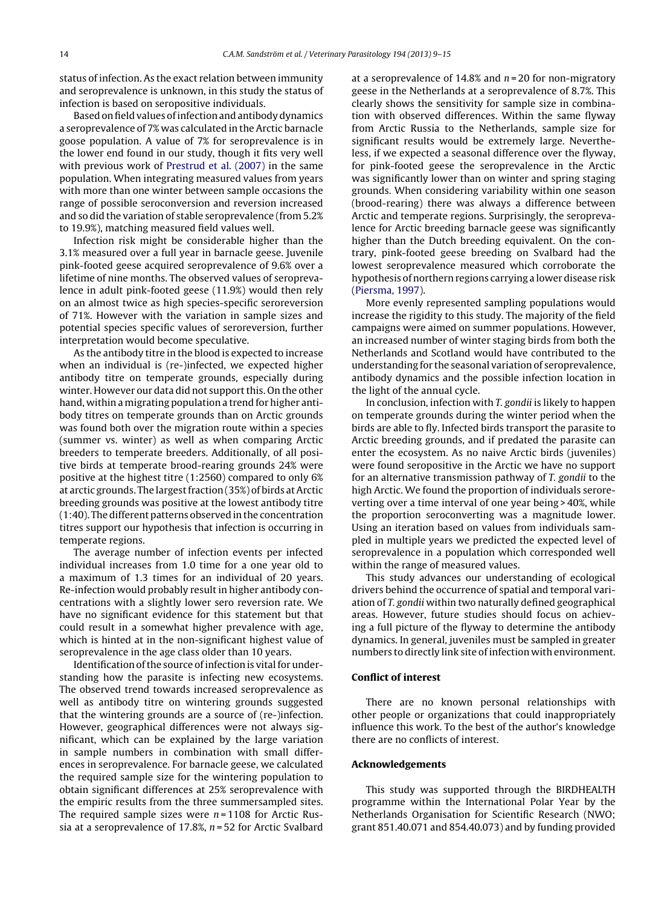status of infection. As the exact relation between immunity and seroprevalence is unknown, in this study the status of infection is based on seropositive individuals.

Based on field values of infection and antibody dynamics a seroprevalence of 7% was calculated in the Arctic barnacle goose population. A value of 7% for seroprevalence is in the lower end found in our study, though it fits very well with previous work of [Prestrud](#page-6-0) et [al.](#page-6-0) [\(2007\)](#page-6-0) in the same population. When integrating measured values from years with more than one winter between sample occasions the range of possible seroconversion and reversion increased and so did the variation of stable seroprevalence (from 5.2% to 19.9%), matching measured field values well.

Infection risk might be considerable higher than the 3.1% measured over a full year in barnacle geese. Juvenile pink-footed geese acquired seroprevalence of 9.6% over a lifetime of nine months. The observed values of seroprevalence in adult pink-footed geese (11.9%) would then rely on an almost twice as high species-specific seroreversion of 71%. However with the variation in sample sizes and potential species specific values of seroreversion, further interpretation would become speculative.

As the antibody titre in the blood is expected to increase when an individual is (re-)infected, we expected higher antibody titre on temperate grounds, especially during winter. However our data did not support this. On the other hand, within a migrating population a trend for higher antibody titres on temperate grounds than on Arctic grounds was found both over the migration route within a species (summer vs. winter) as well as when comparing Arctic breeders to temperate breeders. Additionally, of all positive birds at temperate brood-rearing grounds 24% were positive at the highest titre (1:2560) compared to only 6% at arctic grounds. The largest fraction (35%) of birds at Arctic breeding grounds was positive at the lowest antibody titre (1:40). The different patterns observed in the concentration titres support our hypothesis that infection is occurring in temperate regions.

The average number of infection events per infected individual increases from 1.0 time for a one year old to a maximum of 1.3 times for an individual of 20 years. Re-infection would probably result in higher antibody concentrations with a slightly lower sero reversion rate. We have no significant evidence for this statement but that could result in a somewhat higher prevalence with age, which is hinted at in the non-significant highest value of seroprevalence in the age class older than 10 years.

Identification of the source of infection is vital for understanding how the parasite is infecting new ecosystems. The observed trend towards increased seroprevalence as well as antibody titre on wintering grounds suggested that the wintering grounds are a source of (re-)infection. However, geographical differences were not always significant, which can be explained by the large variation in sample numbers in combination with small differences in seroprevalence. For barnacle geese, we calculated the required sample size for the wintering population to obtain significant differences at 25% seroprevalence with the empiric results from the three summersampled sites. The required sample sizes were  $n = 1108$  for Arctic Russia at a seroprevalence of 17.8%,  $n = 52$  for Arctic Svalbard at a seroprevalence of  $14.8\%$  and  $n = 20$  for non-migratory geese in the Netherlands at a seroprevalence of 8.7%. This clearly shows the sensitivity for sample size in combination with observed differences. Within the same flyway from Arctic Russia to the Netherlands, sample size for significant results would be extremely large. Nevertheless, if we expected a seasonal difference over the flyway, for pink-footed geese the seroprevalence in the Arctic was significantly lower than on winter and spring staging grounds. When considering variability within one season (brood-rearing) there was always a difference between Arctic and temperate regions. Surprisingly, the seroprevalence for Arctic breeding barnacle geese was significantly higher than the Dutch breeding equivalent. On the contrary, pink-footed geese breeding on Svalbard had the lowest seroprevalence measured which corroborate the hypothesis of northern regions carrying a lower disease risk [\(Piersma,](#page-6-0) [1997\).](#page-6-0)

More evenly represented sampling populations would increase the rigidity to this study. The majority of the field campaigns were aimed on summer populations. However, an increased number of winter staging birds from both the Netherlands and Scotland would have contributed to the understanding for the seasonal variation of seroprevalence, antibody dynamics and the possible infection location in the light of the annual cycle.

In conclusion, infection with T. gondii is likely to happen on temperate grounds during the winter period when the birds are able to fly. Infected birds transport the parasite to Arctic breeding grounds, and if predated the parasite can enter the ecosystem. As no naive Arctic birds (juveniles) were found seropositive in the Arctic we have no support for an alternative transmission pathway of T. gondii to the high Arctic. We found the proportion of individuals seroreverting over a time interval of one year being > 40%, while the proportion seroconverting was a magnitude lower. Using an iteration based on values from individuals sampled in multiple years we predicted the expected level of seroprevalence in a population which corresponded well within the range of measured values.

This study advances our understanding of ecological drivers behind the occurrence of spatial and temporal variation of T. gondii within two naturally defined geographical areas. However, future studies should focus on achieving a full picture of the flyway to determine the antibody dynamics. In general, juveniles must be sampled in greater numbers to directly link site of infection with environment.

### **Conflict of interest**

There are no known personal relationships with other people or organizations that could inappropriately influence this work. To the best of the author's knowledge there are no conflicts of interest.

## **Acknowledgements**

This study was supported through the BIRDHEALTH programme within the International Polar Year by the Netherlands Organisation for Scientific Research (NWO; grant 851.40.071 and 854.40.073) and by funding provided